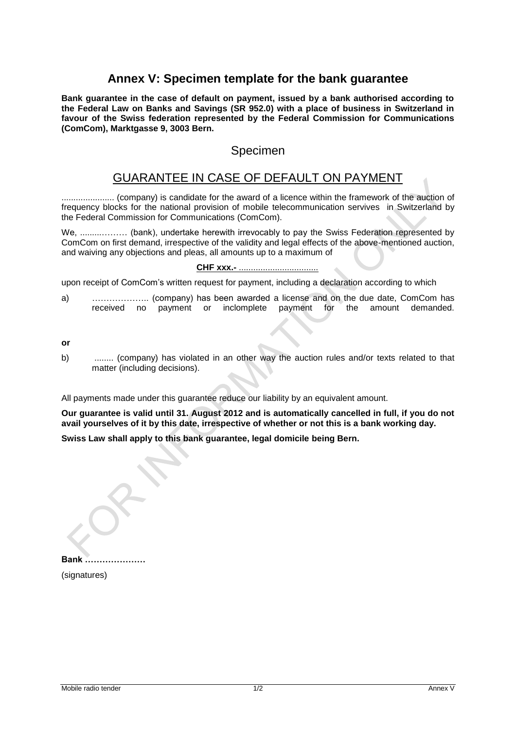# **Annex V: Specimen template for the bank guarantee**

**Bank guarantee in the case of default on payment, issued by a bank authorised according to the Federal Law on Banks and Savings (SR 952.0) with a place of business in Switzerland in favour of the Swiss federation represented by the Federal Commission for Communications (ComCom), Marktgasse 9, 3003 Bern.**

### Specimen

## GUARANTEE IN CASE OF DEFAULT ON PAYMENT

...................... (company) is candidate for the award of a licence within the framework of the auction of frequency blocks for the national provision of mobile telecommunication servives in Switzerland by the Federal Commission for Communications (ComCom).

We, ................... (bank), undertake herewith irrevocably to pay the Swiss Federation represented by ComCom on first demand, irrespective of the validity and legal effects of the above-mentioned auction, and waiving any objections and pleas, all amounts up to a maximum of

#### **CHF xxx.-** .................................

upon receipt of ComCom's written request for payment, including a declaration according to which

a) ……………….. (company) has been awarded a license and on the due date, ComCom has received no payment or inclomplete payment for the amount demanded.

**or** 

b) ........ (company) has violated in an other way the auction rules and/or texts related to that matter (including decisions).

All payments made under this guarantee reduce our liability by an equivalent amount.

**Our guarantee is valid until 31. August 2012 and is automatically cancelled in full, if you do not avail yourselves of it by this date, irrespective of whether or not this is a bank working day.**

**Swiss Law shall apply to this bank guarantee, legal domicile being Bern.**

**Bank …………………** (signatures)